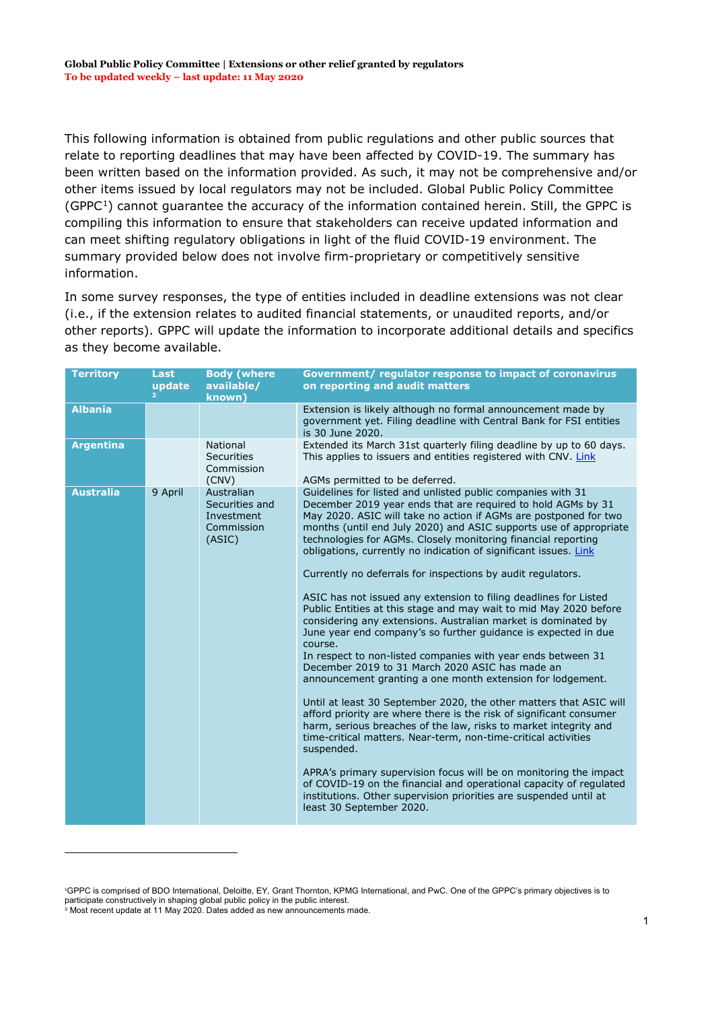This following information is obtained from public regulations and other public sources that relate to reporting deadlines that may have been affected by COVID-19. The summary has been written based on the information provided. As such, it may not be comprehensive and/or other items issued by local regulators may not be included. Global Public Policy Committee  $(GPPC<sup>1</sup>)$  cannot guarantee the accuracy of the information contained herein. Still, the GPPC is compiling this information to ensure that stakeholders can receive updated information and can meet shifting regulatory obligations in light of the fluid COVID-19 environment. The summary provided below does not involve firm-proprietary or competitively sensitive information.

In some survey responses, the type of entities included in deadline extensions was not clear (i.e., if the extension relates to audited financial statements, or unaudited reports, and/or other reports). GPPC will update the information to incorporate additional details and specifics as they become available.

| <b>Territory</b> | <b>Last</b><br>update | <b>Body (where</b><br>available/<br>known)                         | Government/ regulator response to impact of coronavirus<br>on reporting and audit matters                                                                                                                                                                                                                                                                                                                                                                                                                                                                                                                                                                                                                                                                                                                                                                                                                                                                                                                                                                                                                                                                                                                                                                                                                                                                                                                                                                                                     |
|------------------|-----------------------|--------------------------------------------------------------------|-----------------------------------------------------------------------------------------------------------------------------------------------------------------------------------------------------------------------------------------------------------------------------------------------------------------------------------------------------------------------------------------------------------------------------------------------------------------------------------------------------------------------------------------------------------------------------------------------------------------------------------------------------------------------------------------------------------------------------------------------------------------------------------------------------------------------------------------------------------------------------------------------------------------------------------------------------------------------------------------------------------------------------------------------------------------------------------------------------------------------------------------------------------------------------------------------------------------------------------------------------------------------------------------------------------------------------------------------------------------------------------------------------------------------------------------------------------------------------------------------|
| <b>Albania</b>   |                       |                                                                    | Extension is likely although no formal announcement made by<br>government yet. Filing deadline with Central Bank for FSI entities<br>is 30 June 2020.                                                                                                                                                                                                                                                                                                                                                                                                                                                                                                                                                                                                                                                                                                                                                                                                                                                                                                                                                                                                                                                                                                                                                                                                                                                                                                                                         |
| <b>Argentina</b> |                       | National<br><b>Securities</b><br>Commission<br>(CNV)               | Extended its March 31st quarterly filing deadline by up to 60 days.<br>This applies to issuers and entities registered with CNV. Link<br>AGMs permitted to be deferred.                                                                                                                                                                                                                                                                                                                                                                                                                                                                                                                                                                                                                                                                                                                                                                                                                                                                                                                                                                                                                                                                                                                                                                                                                                                                                                                       |
| <b>Australia</b> | 9 April               | Australian<br>Securities and<br>Investment<br>Commission<br>(ASIC) | Guidelines for listed and unlisted public companies with 31<br>December 2019 year ends that are required to hold AGMs by 31<br>May 2020. ASIC will take no action if AGMs are postponed for two<br>months (until end July 2020) and ASIC supports use of appropriate<br>technologies for AGMs. Closely monitoring financial reporting<br>obligations, currently no indication of significant issues. Link<br>Currently no deferrals for inspections by audit regulators.<br>ASIC has not issued any extension to filing deadlines for Listed<br>Public Entities at this stage and may wait to mid May 2020 before<br>considering any extensions. Australian market is dominated by<br>June year end company's so further guidance is expected in due<br>course.<br>In respect to non-listed companies with year ends between 31<br>December 2019 to 31 March 2020 ASIC has made an<br>announcement granting a one month extension for lodgement.<br>Until at least 30 September 2020, the other matters that ASIC will<br>afford priority are where there is the risk of significant consumer<br>harm, serious breaches of the law, risks to market integrity and<br>time-critical matters. Near-term, non-time-critical activities<br>suspended.<br>APRA's primary supervision focus will be on monitoring the impact<br>of COVID-19 on the financial and operational capacity of regulated<br>institutions. Other supervision priorities are suspended until at<br>least 30 September 2020. |

-

<span id="page-0-1"></span><span id="page-0-0"></span><sup>1</sup> GPPC is comprised of BDO International, Deloitte, EY, Grant Thornton, KPMG International, and PwC. One of the GPPC's primary objectives is to participate constructively in shaping global public policy in the public interest. <sup>2</sup> Most recent update at 11 May 2020. Dates added as new announcements made.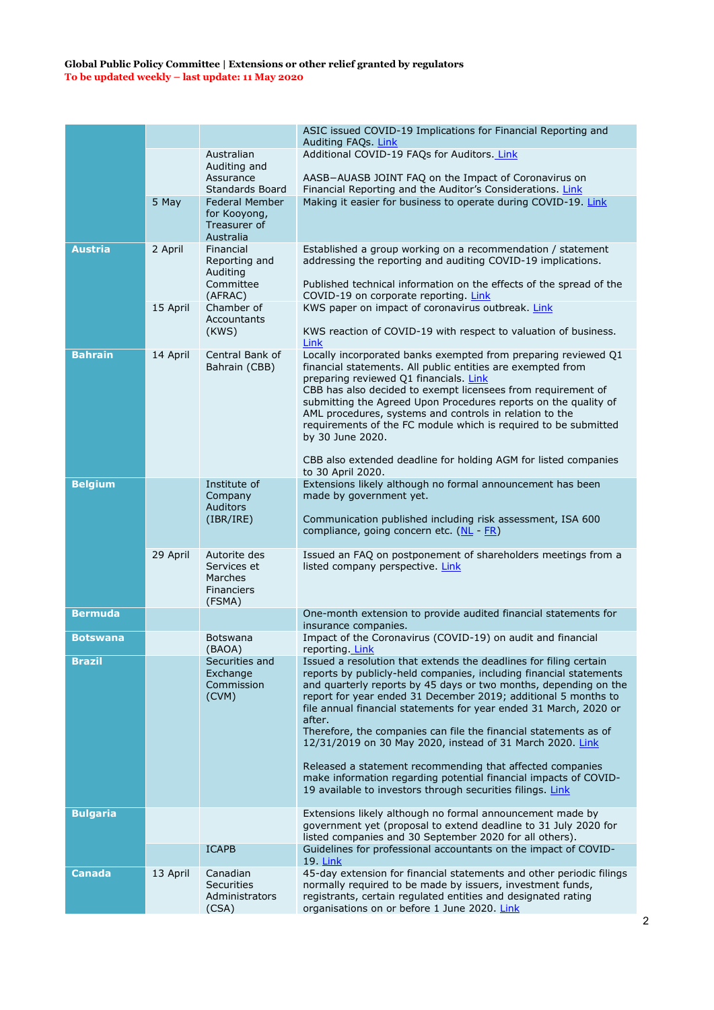|                 |          |                                                                       | ASIC issued COVID-19 Implications for Financial Reporting and<br>Auditing FAQs. Link                                                                                                                                                                                                                                                                                                                                                                                                                                                                       |
|-----------------|----------|-----------------------------------------------------------------------|------------------------------------------------------------------------------------------------------------------------------------------------------------------------------------------------------------------------------------------------------------------------------------------------------------------------------------------------------------------------------------------------------------------------------------------------------------------------------------------------------------------------------------------------------------|
|                 |          | Australian<br>Auditing and                                            | Additional COVID-19 FAQs for Auditors. Link                                                                                                                                                                                                                                                                                                                                                                                                                                                                                                                |
|                 |          | Assurance<br>Standards Board                                          | AASB-AUASB JOINT FAQ on the Impact of Coronavirus on<br>Financial Reporting and the Auditor's Considerations. Link                                                                                                                                                                                                                                                                                                                                                                                                                                         |
|                 | 5 May    | <b>Federal Member</b><br>for Kooyong,<br>Treasurer of<br>Australia    | Making it easier for business to operate during COVID-19. Link                                                                                                                                                                                                                                                                                                                                                                                                                                                                                             |
| <b>Austria</b>  | 2 April  | Financial<br>Reporting and<br>Auditing<br>Committee<br>(AFRAC)        | Established a group working on a recommendation / statement<br>addressing the reporting and auditing COVID-19 implications.<br>Published technical information on the effects of the spread of the<br>COVID-19 on corporate reporting. Link                                                                                                                                                                                                                                                                                                                |
|                 | 15 April | Chamber of<br>Accountants<br>(KWS)                                    | KWS paper on impact of coronavirus outbreak. Link<br>KWS reaction of COVID-19 with respect to valuation of business.<br>Link                                                                                                                                                                                                                                                                                                                                                                                                                               |
| <b>Bahrain</b>  | 14 April | Central Bank of<br>Bahrain (CBB)                                      | Locally incorporated banks exempted from preparing reviewed Q1<br>financial statements. All public entities are exempted from<br>preparing reviewed Q1 financials. Link<br>CBB has also decided to exempt licensees from requirement of<br>submitting the Agreed Upon Procedures reports on the quality of<br>AML procedures, systems and controls in relation to the<br>requirements of the FC module which is required to be submitted<br>by 30 June 2020.<br>CBB also extended deadline for holding AGM for listed companies                            |
| <b>Belgium</b>  |          | Institute of                                                          | to 30 April 2020.<br>Extensions likely although no formal announcement has been                                                                                                                                                                                                                                                                                                                                                                                                                                                                            |
|                 |          | Company<br><b>Auditors</b><br>(IBR/IRE)                               | made by government yet.<br>Communication published including risk assessment, ISA 600<br>compliance, going concern etc. (NL - FR)                                                                                                                                                                                                                                                                                                                                                                                                                          |
|                 | 29 April | Autorite des<br>Services et<br>Marches<br><b>Financiers</b><br>(FSMA) | Issued an FAQ on postponement of shareholders meetings from a<br>listed company perspective. Link                                                                                                                                                                                                                                                                                                                                                                                                                                                          |
| <b>Bermuda</b>  |          |                                                                       | One-month extension to provide audited financial statements for<br>insurance companies.                                                                                                                                                                                                                                                                                                                                                                                                                                                                    |
| <b>Botswana</b> |          | <b>Botswana</b><br>(BAOA)                                             | Impact of the Coronavirus (COVID-19) on audit and financial<br>reporting. Link                                                                                                                                                                                                                                                                                                                                                                                                                                                                             |
| Brazil          |          | Securities and<br>Exchange<br>Commission<br>(CVM)                     | Issued a resolution that extends the deadlines for filing certain<br>reports by publicly-held companies, including financial statements<br>and quarterly reports by 45 days or two months, depending on the<br>report for year ended 31 December 2019; additional 5 months to<br>file annual financial statements for year ended 31 March, 2020 or<br>after.<br>Therefore, the companies can file the financial statements as of<br>12/31/2019 on 30 May 2020, instead of 31 March 2020. Link<br>Released a statement recommending that affected companies |
|                 |          |                                                                       | make information regarding potential financial impacts of COVID-<br>19 available to investors through securities filings. Link                                                                                                                                                                                                                                                                                                                                                                                                                             |
| <b>Bulgaria</b> |          |                                                                       | Extensions likely although no formal announcement made by<br>government yet (proposal to extend deadline to 31 July 2020 for<br>listed companies and 30 September 2020 for all others).                                                                                                                                                                                                                                                                                                                                                                    |
|                 |          | <b>ICAPB</b>                                                          | Guidelines for professional accountants on the impact of COVID-<br>19 <b>Link</b>                                                                                                                                                                                                                                                                                                                                                                                                                                                                          |
| <b>Canada</b>   | 13 April | Canadian<br><b>Securities</b><br>Administrators<br>(CSA)              | 45-day extension for financial statements and other periodic filings<br>normally required to be made by issuers, investment funds,<br>registrants, certain regulated entities and designated rating<br>organisations on or before 1 June 2020. Link                                                                                                                                                                                                                                                                                                        |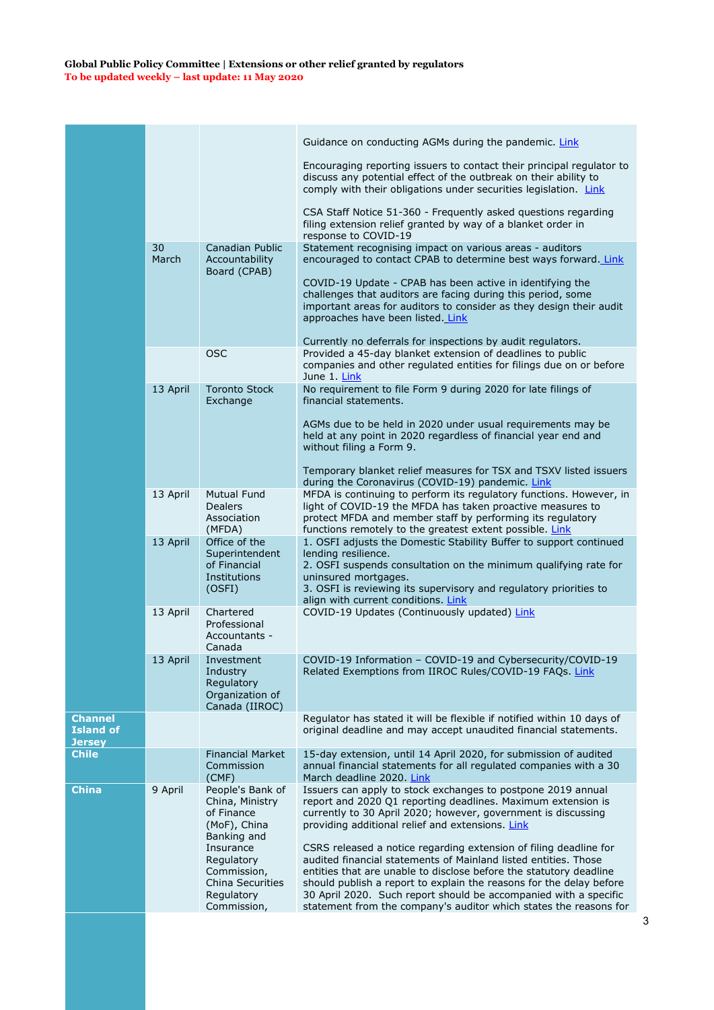|                                                     |             |                                                                                         | Guidance on conducting AGMs during the pandemic. Link                                                                                                                                                                                                                                                                                                                                                                      |
|-----------------------------------------------------|-------------|-----------------------------------------------------------------------------------------|----------------------------------------------------------------------------------------------------------------------------------------------------------------------------------------------------------------------------------------------------------------------------------------------------------------------------------------------------------------------------------------------------------------------------|
|                                                     |             |                                                                                         |                                                                                                                                                                                                                                                                                                                                                                                                                            |
|                                                     |             |                                                                                         | Encouraging reporting issuers to contact their principal regulator to<br>discuss any potential effect of the outbreak on their ability to<br>comply with their obligations under securities legislation. Link                                                                                                                                                                                                              |
|                                                     |             |                                                                                         | CSA Staff Notice 51-360 - Frequently asked questions regarding<br>filing extension relief granted by way of a blanket order in<br>response to COVID-19                                                                                                                                                                                                                                                                     |
|                                                     | 30<br>March | Canadian Public<br>Accountability                                                       | Statement recognising impact on various areas - auditors<br>encouraged to contact CPAB to determine best ways forward. Link                                                                                                                                                                                                                                                                                                |
|                                                     |             | Board (CPAB)                                                                            | COVID-19 Update - CPAB has been active in identifying the<br>challenges that auditors are facing during this period, some<br>important areas for auditors to consider as they design their audit<br>approaches have been listed. Link                                                                                                                                                                                      |
|                                                     |             |                                                                                         | Currently no deferrals for inspections by audit regulators.                                                                                                                                                                                                                                                                                                                                                                |
|                                                     |             | <b>OSC</b>                                                                              | Provided a 45-day blanket extension of deadlines to public<br>companies and other regulated entities for filings due on or before<br>June 1. Link                                                                                                                                                                                                                                                                          |
|                                                     | 13 April    | <b>Toronto Stock</b><br>Exchange                                                        | No requirement to file Form 9 during 2020 for late filings of<br>financial statements.                                                                                                                                                                                                                                                                                                                                     |
|                                                     |             |                                                                                         | AGMs due to be held in 2020 under usual requirements may be<br>held at any point in 2020 regardless of financial year end and<br>without filing a Form 9.                                                                                                                                                                                                                                                                  |
|                                                     |             |                                                                                         | Temporary blanket relief measures for TSX and TSXV listed issuers<br>during the Coronavirus (COVID-19) pandemic. Link                                                                                                                                                                                                                                                                                                      |
|                                                     | 13 April    | <b>Mutual Fund</b><br><b>Dealers</b><br>Association<br>(MFDA)                           | MFDA is continuing to perform its regulatory functions. However, in<br>light of COVID-19 the MFDA has taken proactive measures to<br>protect MFDA and member staff by performing its regulatory<br>functions remotely to the greatest extent possible. Link                                                                                                                                                                |
|                                                     | 13 April    | Office of the<br>Superintendent<br>of Financial<br>Institutions<br>(OSFI)               | 1. OSFI adjusts the Domestic Stability Buffer to support continued<br>lending resilience.<br>2. OSFI suspends consultation on the minimum qualifying rate for<br>uninsured mortgages.<br>3. OSFI is reviewing its supervisory and regulatory priorities to<br>align with current conditions. Link                                                                                                                          |
|                                                     | 13 April    | Chartered<br>Professional<br>Accountants -<br>Canada                                    | COVID-19 Updates (Continuously updated) Link                                                                                                                                                                                                                                                                                                                                                                               |
|                                                     | 13 April    | Investment<br>Industry<br>Regulatory<br>Organization of<br>Canada (IIROC)               | COVID-19 Information - COVID-19 and Cybersecurity/COVID-19<br>Related Exemptions from IIROC Rules/COVID-19 FAQs. Link                                                                                                                                                                                                                                                                                                      |
| <b>Channel</b><br><b>Island of</b><br><b>Jersey</b> |             |                                                                                         | Regulator has stated it will be flexible if notified within 10 days of<br>original deadline and may accept unaudited financial statements.                                                                                                                                                                                                                                                                                 |
| <b>Chile</b>                                        |             | <b>Financial Market</b><br>Commission<br>(CMF)                                          | 15-day extension, until 14 April 2020, for submission of audited<br>annual financial statements for all regulated companies with a 30<br>March deadline 2020. Link                                                                                                                                                                                                                                                         |
| <b>China</b>                                        | 9 April     | People's Bank of<br>China, Ministry<br>of Finance<br>(MoF), China<br>Banking and        | Issuers can apply to stock exchanges to postpone 2019 annual<br>report and 2020 Q1 reporting deadlines. Maximum extension is<br>currently to 30 April 2020; however, government is discussing<br>providing additional relief and extensions. Link                                                                                                                                                                          |
|                                                     |             | Insurance<br>Regulatory<br>Commission,<br>China Securities<br>Regulatory<br>Commission, | CSRS released a notice regarding extension of filing deadline for<br>audited financial statements of Mainland listed entities. Those<br>entities that are unable to disclose before the statutory deadline<br>should publish a report to explain the reasons for the delay before<br>30 April 2020. Such report should be accompanied with a specific<br>statement from the company's auditor which states the reasons for |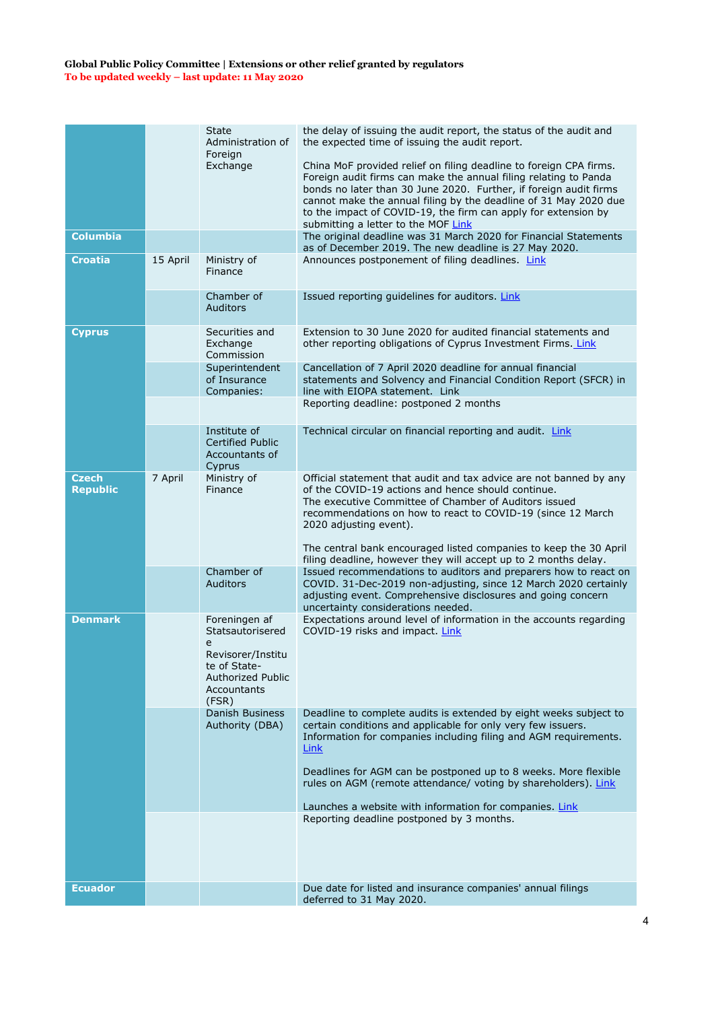|                                 |          | <b>State</b><br>Administration of<br>Foreign                                                                                    | the delay of issuing the audit report, the status of the audit and<br>the expected time of issuing the audit report.                                                                                                                                                                                                                                                                     |
|---------------------------------|----------|---------------------------------------------------------------------------------------------------------------------------------|------------------------------------------------------------------------------------------------------------------------------------------------------------------------------------------------------------------------------------------------------------------------------------------------------------------------------------------------------------------------------------------|
|                                 |          | Exchange                                                                                                                        | China MoF provided relief on filing deadline to foreign CPA firms.<br>Foreign audit firms can make the annual filing relating to Panda<br>bonds no later than 30 June 2020. Further, if foreign audit firms<br>cannot make the annual filing by the deadline of 31 May 2020 due<br>to the impact of COVID-19, the firm can apply for extension by<br>submitting a letter to the MOF Link |
| <b>Columbia</b>                 |          |                                                                                                                                 | The original deadline was 31 March 2020 for Financial Statements<br>as of December 2019. The new deadline is 27 May 2020.                                                                                                                                                                                                                                                                |
| <b>Croatia</b>                  | 15 April | Ministry of<br>Finance                                                                                                          | Announces postponement of filing deadlines. Link                                                                                                                                                                                                                                                                                                                                         |
|                                 |          | Chamber of<br><b>Auditors</b>                                                                                                   | Issued reporting guidelines for auditors. Link                                                                                                                                                                                                                                                                                                                                           |
| <b>Cyprus</b>                   |          | Securities and<br>Exchange<br>Commission                                                                                        | Extension to 30 June 2020 for audited financial statements and<br>other reporting obligations of Cyprus Investment Firms. Link                                                                                                                                                                                                                                                           |
|                                 |          | Superintendent<br>of Insurance<br>Companies:                                                                                    | Cancellation of 7 April 2020 deadline for annual financial<br>statements and Solvency and Financial Condition Report (SFCR) in<br>line with EIOPA statement. Link                                                                                                                                                                                                                        |
|                                 |          |                                                                                                                                 | Reporting deadline: postponed 2 months                                                                                                                                                                                                                                                                                                                                                   |
|                                 |          | Institute of<br><b>Certified Public</b><br>Accountants of                                                                       | Technical circular on financial reporting and audit. Link                                                                                                                                                                                                                                                                                                                                |
|                                 |          | Cyprus                                                                                                                          |                                                                                                                                                                                                                                                                                                                                                                                          |
| <b>Czech</b><br><b>Republic</b> | 7 April  | Ministry of<br>Finance                                                                                                          | Official statement that audit and tax advice are not banned by any<br>of the COVID-19 actions and hence should continue.<br>The executive Committee of Chamber of Auditors issued<br>recommendations on how to react to COVID-19 (since 12 March<br>2020 adjusting event).<br>The central bank encouraged listed companies to keep the 30 April                                          |
|                                 |          | Chamber of                                                                                                                      | filing deadline, however they will accept up to 2 months delay.                                                                                                                                                                                                                                                                                                                          |
|                                 |          | <b>Auditors</b>                                                                                                                 | Issued recommendations to auditors and preparers how to react on<br>COVID. 31-Dec-2019 non-adjusting, since 12 March 2020 certainly<br>adjusting event. Comprehensive disclosures and going concern<br>uncertainty considerations needed.                                                                                                                                                |
| <b>Denmark</b>                  |          | Foreningen af<br>Statsautorisered<br>e<br>Revisorer/Institu<br>te of State-<br><b>Authorized Public</b><br>Accountants<br>(FSR) | Expectations around level of information in the accounts regarding<br>COVID-19 risks and impact. Link                                                                                                                                                                                                                                                                                    |
|                                 |          | <b>Danish Business</b><br>Authority (DBA)                                                                                       | Deadline to complete audits is extended by eight weeks subject to<br>certain conditions and applicable for only very few issuers.<br>Information for companies including filing and AGM requirements.<br>Link<br>Deadlines for AGM can be postponed up to 8 weeks. More flexible<br>rules on AGM (remote attendance/ voting by shareholders). Link                                       |
|                                 |          |                                                                                                                                 | Launches a website with information for companies. Link                                                                                                                                                                                                                                                                                                                                  |
|                                 |          |                                                                                                                                 | Reporting deadline postponed by 3 months.                                                                                                                                                                                                                                                                                                                                                |
| <b>Ecuador</b>                  |          |                                                                                                                                 | Due date for listed and insurance companies' annual filings                                                                                                                                                                                                                                                                                                                              |
|                                 |          |                                                                                                                                 | deferred to 31 May 2020.                                                                                                                                                                                                                                                                                                                                                                 |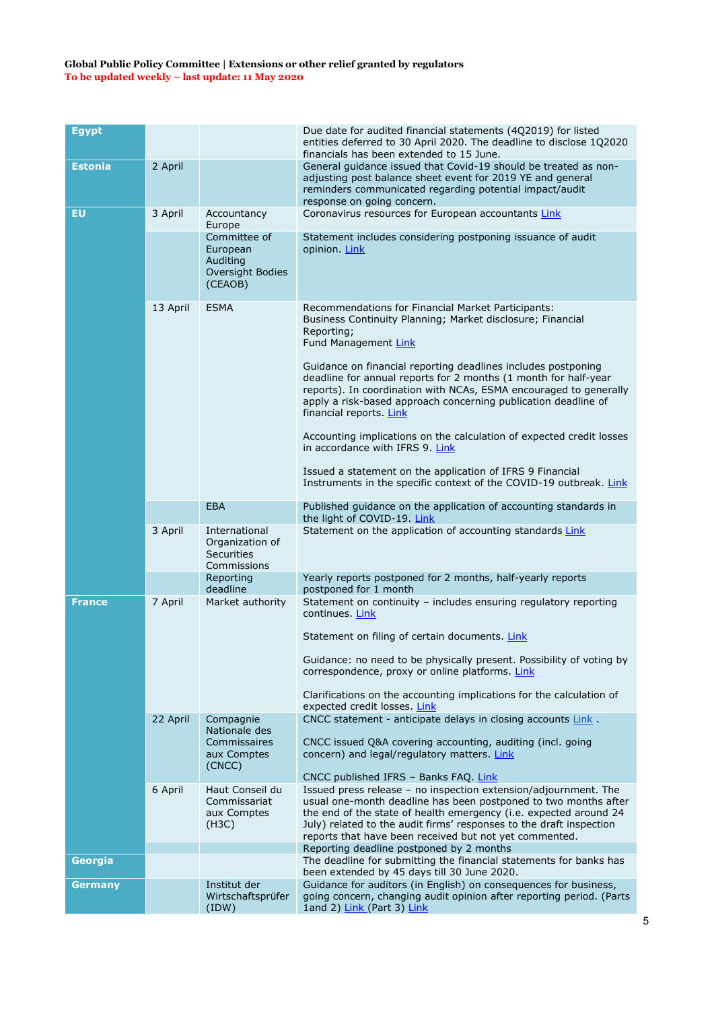| <b>Egypt</b>   |          |                                                                      | Due date for audited financial statements (4Q2019) for listed<br>entities deferred to 30 April 2020. The deadline to disclose 1Q2020<br>financials has been extended to 15 June.                                                                                                                                                                                                                                                                                                                                                                                        |
|----------------|----------|----------------------------------------------------------------------|-------------------------------------------------------------------------------------------------------------------------------------------------------------------------------------------------------------------------------------------------------------------------------------------------------------------------------------------------------------------------------------------------------------------------------------------------------------------------------------------------------------------------------------------------------------------------|
| <b>Estonia</b> | 2 April  |                                                                      | General quidance issued that Covid-19 should be treated as non-<br>adjusting post balance sheet event for 2019 YE and general<br>reminders communicated regarding potential impact/audit<br>response on going concern.                                                                                                                                                                                                                                                                                                                                                  |
| <b>EU</b>      | 3 April  | Accountancy<br>Europe                                                | Coronavirus resources for European accountants Link                                                                                                                                                                                                                                                                                                                                                                                                                                                                                                                     |
|                |          | Committee of<br>European<br>Auditing<br>Oversight Bodies<br>(CEAOB)  | Statement includes considering postponing issuance of audit<br>opinion. Link                                                                                                                                                                                                                                                                                                                                                                                                                                                                                            |
|                | 13 April | <b>ESMA</b>                                                          | Recommendations for Financial Market Participants:<br>Business Continuity Planning; Market disclosure; Financial<br>Reporting;<br>Fund Management Link<br>Guidance on financial reporting deadlines includes postponing<br>deadline for annual reports for 2 months (1 month for half-year<br>reports). In coordination with NCAs, ESMA encouraged to generally<br>apply a risk-based approach concerning publication deadline of<br>financial reports. Link<br>Accounting implications on the calculation of expected credit losses<br>in accordance with IFRS 9. Link |
|                |          |                                                                      | Issued a statement on the application of IFRS 9 Financial<br>Instruments in the specific context of the COVID-19 outbreak. Link                                                                                                                                                                                                                                                                                                                                                                                                                                         |
|                |          | <b>EBA</b>                                                           | Published guidance on the application of accounting standards in<br>the light of COVID-19. Link                                                                                                                                                                                                                                                                                                                                                                                                                                                                         |
|                | 3 April  | International<br>Organization of<br><b>Securities</b><br>Commissions | Statement on the application of accounting standards Link                                                                                                                                                                                                                                                                                                                                                                                                                                                                                                               |
|                |          | Reporting<br>deadline                                                | Yearly reports postponed for 2 months, half-yearly reports<br>postponed for 1 month                                                                                                                                                                                                                                                                                                                                                                                                                                                                                     |
| <b>France</b>  | 7 April  | Market authority                                                     | Statement on continuity - includes ensuring regulatory reporting<br>continues. Link<br>Statement on filing of certain documents. Link                                                                                                                                                                                                                                                                                                                                                                                                                                   |
|                |          |                                                                      | Guidance: no need to be physically present. Possibility of voting by<br>correspondence, proxy or online platforms. Link                                                                                                                                                                                                                                                                                                                                                                                                                                                 |
|                |          |                                                                      | Clarifications on the accounting implications for the calculation of<br>expected credit losses. Link                                                                                                                                                                                                                                                                                                                                                                                                                                                                    |
|                | 22 April | Compagnie<br>Nationale des<br>Commissaires<br>aux Comptes<br>(CNCC)  | CNCC statement - anticipate delays in closing accounts Link.<br>CNCC issued Q&A covering accounting, auditing (incl. going<br>concern) and legal/regulatory matters. Link                                                                                                                                                                                                                                                                                                                                                                                               |
|                | 6 April  | Haut Conseil du<br>Commissariat<br>aux Comptes<br>(H3C)              | CNCC published IFRS - Banks FAQ. Link<br>Issued press release - no inspection extension/adjournment. The<br>usual one-month deadline has been postponed to two months after<br>the end of the state of health emergency (i.e. expected around 24<br>July) related to the audit firms' responses to the draft inspection<br>reports that have been received but not yet commented.                                                                                                                                                                                       |
| Georgia        |          |                                                                      | Reporting deadline postponed by 2 months<br>The deadline for submitting the financial statements for banks has                                                                                                                                                                                                                                                                                                                                                                                                                                                          |
| <b>Germany</b> |          | Institut der<br>Wirtschaftsprüfer<br>(IDW)                           | been extended by 45 days till 30 June 2020.<br>Guidance for auditors (in English) on consequences for business,<br>going concern, changing audit opinion after reporting period. (Parts<br>1and 2) Link (Part 3) Link                                                                                                                                                                                                                                                                                                                                                   |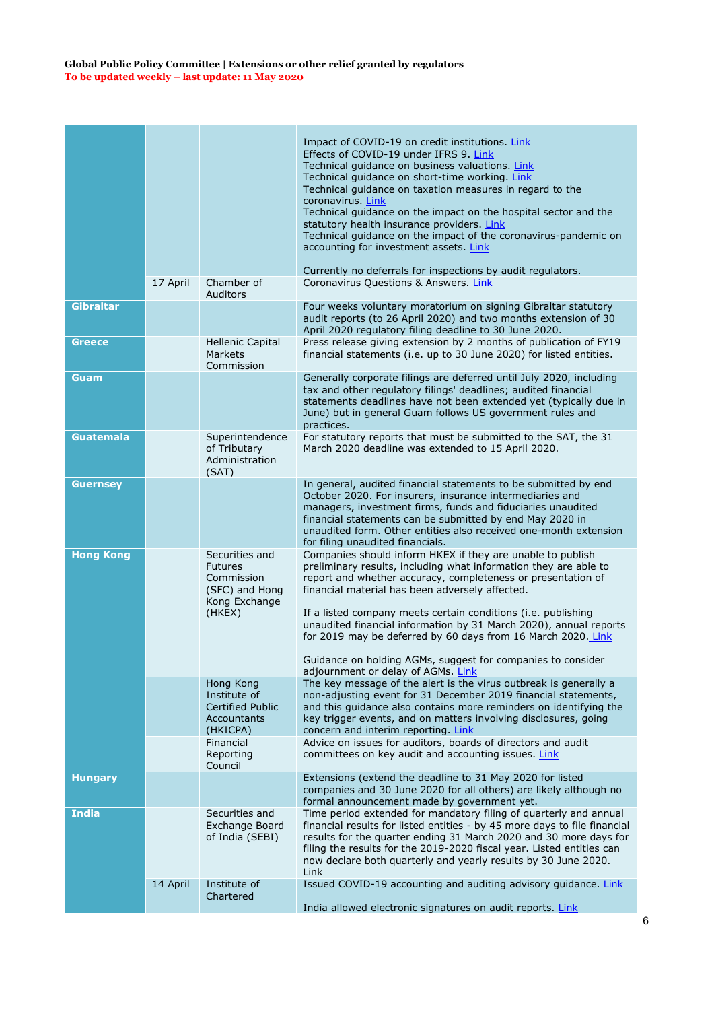|                  |          |                                                                                             | Impact of COVID-19 on credit institutions. Link<br>Effects of COVID-19 under IFRS 9 Link<br>Technical quidance on business valuations. Link<br>Technical guidance on short-time working. Link<br>Technical guidance on taxation measures in regard to the<br>coronavirus. Link<br>Technical guidance on the impact on the hospital sector and the<br>statutory health insurance providers. Link<br>Technical guidance on the impact of the coronavirus-pandemic on<br>accounting for investment assets. Link<br>Currently no deferrals for inspections by audit regulators. |
|------------------|----------|---------------------------------------------------------------------------------------------|-----------------------------------------------------------------------------------------------------------------------------------------------------------------------------------------------------------------------------------------------------------------------------------------------------------------------------------------------------------------------------------------------------------------------------------------------------------------------------------------------------------------------------------------------------------------------------|
|                  | 17 April | Chamber of<br><b>Auditors</b>                                                               | Coronavirus Questions & Answers, Link                                                                                                                                                                                                                                                                                                                                                                                                                                                                                                                                       |
| <b>Gibraltar</b> |          |                                                                                             | Four weeks voluntary moratorium on signing Gibraltar statutory<br>audit reports (to 26 April 2020) and two months extension of 30<br>April 2020 regulatory filing deadline to 30 June 2020.                                                                                                                                                                                                                                                                                                                                                                                 |
| <b>Greece</b>    |          | <b>Hellenic Capital</b><br>Markets<br>Commission                                            | Press release giving extension by 2 months of publication of FY19<br>financial statements (i.e. up to 30 June 2020) for listed entities.                                                                                                                                                                                                                                                                                                                                                                                                                                    |
| Guam             |          |                                                                                             | Generally corporate filings are deferred until July 2020, including<br>tax and other regulatory filings' deadlines; audited financial<br>statements deadlines have not been extended yet (typically due in<br>June) but in general Guam follows US government rules and<br>practices.                                                                                                                                                                                                                                                                                       |
| <b>Guatemala</b> |          | Superintendence<br>of Tributary<br>Administration<br>(SAT)                                  | For statutory reports that must be submitted to the SAT, the 31<br>March 2020 deadline was extended to 15 April 2020.                                                                                                                                                                                                                                                                                                                                                                                                                                                       |
| <b>Guernsey</b>  |          |                                                                                             | In general, audited financial statements to be submitted by end<br>October 2020. For insurers, insurance intermediaries and<br>managers, investment firms, funds and fiduciaries unaudited<br>financial statements can be submitted by end May 2020 in<br>unaudited form. Other entities also received one-month extension<br>for filing unaudited financials.                                                                                                                                                                                                              |
| <b>Hong Kong</b> |          | Securities and<br><b>Futures</b><br>Commission<br>(SFC) and Hong<br>Kong Exchange<br>(HKEX) | Companies should inform HKEX if they are unable to publish<br>preliminary results, including what information they are able to<br>report and whether accuracy, completeness or presentation of<br>financial material has been adversely affected.<br>If a listed company meets certain conditions (i.e. publishing<br>unaudited financial information by 31 March 2020), annual reports<br>for 2019 may be deferred by 60 days from 16 March 2020. Link<br>Guidance on holding AGMs, suggest for companies to consider<br>adjournment or delay of AGMs. Link                |
|                  |          | Hong Kong<br>Institute of<br>Certified Public<br>Accountants<br>(HKICPA)                    | The key message of the alert is the virus outbreak is generally a<br>non-adjusting event for 31 December 2019 financial statements,<br>and this quidance also contains more reminders on identifying the<br>key trigger events, and on matters involving disclosures, going<br>concern and interim reporting. Link                                                                                                                                                                                                                                                          |
|                  |          | Financial<br>Reporting<br>Council                                                           | Advice on issues for auditors, boards of directors and audit<br>committees on key audit and accounting issues. Link                                                                                                                                                                                                                                                                                                                                                                                                                                                         |
| <b>Hungary</b>   |          |                                                                                             | Extensions (extend the deadline to 31 May 2020 for listed<br>companies and 30 June 2020 for all others) are likely although no<br>formal announcement made by government yet.                                                                                                                                                                                                                                                                                                                                                                                               |
| <b>India</b>     |          | Securities and<br>Exchange Board<br>of India (SEBI)                                         | Time period extended for mandatory filing of quarterly and annual<br>financial results for listed entities - by 45 more days to file financial<br>results for the quarter ending 31 March 2020 and 30 more days for<br>filing the results for the 2019-2020 fiscal year. Listed entities can<br>now declare both quarterly and yearly results by 30 June 2020.<br>Link                                                                                                                                                                                                      |
|                  | 14 April | Institute of<br>Chartered                                                                   | Issued COVID-19 accounting and auditing advisory guidance. Link<br>India allowed electronic signatures on audit reports. Link                                                                                                                                                                                                                                                                                                                                                                                                                                               |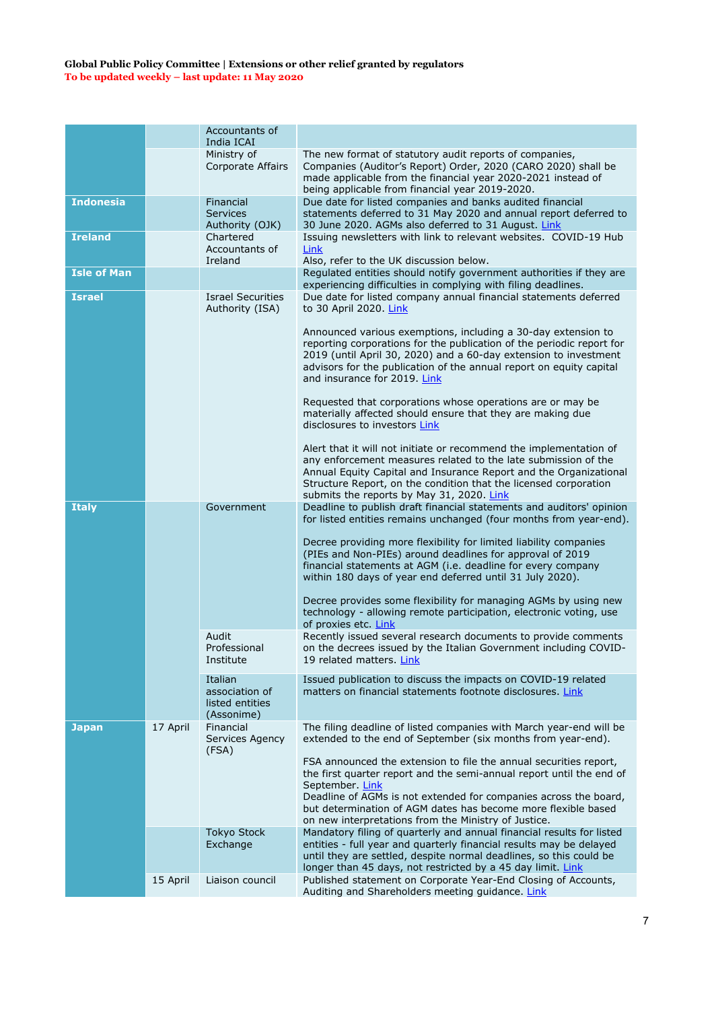|                    |          | Accountants of<br>India ICAI                               |                                                                                                                                                                                                                                                                                                                                                           |
|--------------------|----------|------------------------------------------------------------|-----------------------------------------------------------------------------------------------------------------------------------------------------------------------------------------------------------------------------------------------------------------------------------------------------------------------------------------------------------|
|                    |          | Ministry of<br><b>Corporate Affairs</b>                    | The new format of statutory audit reports of companies,<br>Companies (Auditor's Report) Order, 2020 (CARO 2020) shall be<br>made applicable from the financial year 2020-2021 instead of<br>being applicable from financial year 2019-2020.                                                                                                               |
| <b>Indonesia</b>   |          | Financial<br><b>Services</b><br>Authority (OJK)            | Due date for listed companies and banks audited financial<br>statements deferred to 31 May 2020 and annual report deferred to<br>30 June 2020. AGMs also deferred to 31 August. Link                                                                                                                                                                      |
| <b>Ireland</b>     |          | Chartered<br>Accountants of<br>Ireland                     | Issuing newsletters with link to relevant websites. COVID-19 Hub<br>Link<br>Also, refer to the UK discussion below.                                                                                                                                                                                                                                       |
| <b>Isle of Man</b> |          |                                                            | Regulated entities should notify government authorities if they are<br>experiencing difficulties in complying with filing deadlines.                                                                                                                                                                                                                      |
| <b>Israel</b>      |          | <b>Israel Securities</b><br>Authority (ISA)                | Due date for listed company annual financial statements deferred<br>to 30 April 2020. Link                                                                                                                                                                                                                                                                |
|                    |          |                                                            | Announced various exemptions, including a 30-day extension to<br>reporting corporations for the publication of the periodic report for<br>2019 (until April 30, 2020) and a 60-day extension to investment<br>advisors for the publication of the annual report on equity capital<br>and insurance for 2019. Link                                         |
|                    |          |                                                            | Requested that corporations whose operations are or may be<br>materially affected should ensure that they are making due<br>disclosures to investors Link                                                                                                                                                                                                 |
|                    |          |                                                            | Alert that it will not initiate or recommend the implementation of<br>any enforcement measures related to the late submission of the<br>Annual Equity Capital and Insurance Report and the Organizational<br>Structure Report, on the condition that the licensed corporation<br>submits the reports by May 31, 2020. Link                                |
| <b>Italy</b>       |          | Government                                                 | Deadline to publish draft financial statements and auditors' opinion<br>for listed entities remains unchanged (four months from year-end).                                                                                                                                                                                                                |
|                    |          |                                                            | Decree providing more flexibility for limited liability companies<br>(PIEs and Non-PIEs) around deadlines for approval of 2019<br>financial statements at AGM (i.e. deadline for every company<br>within 180 days of year end deferred until 31 July 2020).                                                                                               |
|                    |          |                                                            | Decree provides some flexibility for managing AGMs by using new<br>technology - allowing remote participation, electronic voting, use<br>of proxies etc. Link                                                                                                                                                                                             |
|                    |          | Audit<br>Professional<br>Institute                         | Recently issued several research documents to provide comments<br>on the decrees issued by the Italian Government including COVID-<br>19 related matters. Link                                                                                                                                                                                            |
|                    |          | Italian<br>association of<br>listed entities<br>(Assonime) | Issued publication to discuss the impacts on COVID-19 related<br>matters on financial statements footnote disclosures. Link                                                                                                                                                                                                                               |
| <b>Japan</b>       | 17 April | Financial<br>Services Agency<br>(FSA)                      | The filing deadline of listed companies with March year-end will be<br>extended to the end of September (six months from year-end).                                                                                                                                                                                                                       |
|                    |          |                                                            | FSA announced the extension to file the annual securities report,<br>the first quarter report and the semi-annual report until the end of<br>September. Link<br>Deadline of AGMs is not extended for companies across the board,<br>but determination of AGM dates has become more flexible based<br>on new interpretations from the Ministry of Justice. |
|                    |          | <b>Tokyo Stock</b><br>Exchange                             | Mandatory filing of quarterly and annual financial results for listed<br>entities - full year and quarterly financial results may be delayed<br>until they are settled, despite normal deadlines, so this could be<br>longer than 45 days, not restricted by a 45 day limit. Link                                                                         |
|                    | 15 April | Liaison council                                            | Published statement on Corporate Year-End Closing of Accounts,<br>Auditing and Shareholders meeting guidance. Link                                                                                                                                                                                                                                        |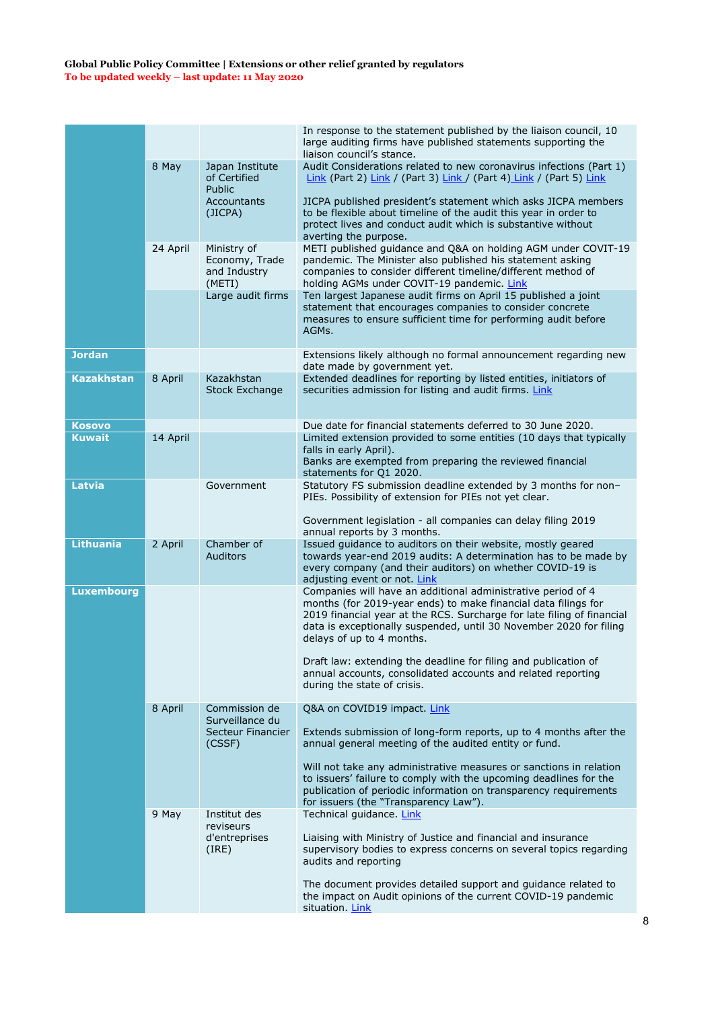|                   |          |                                                         | In response to the statement published by the liaison council, 10                                                                                                                                                                                                                                           |
|-------------------|----------|---------------------------------------------------------|-------------------------------------------------------------------------------------------------------------------------------------------------------------------------------------------------------------------------------------------------------------------------------------------------------------|
|                   |          |                                                         | large auditing firms have published statements supporting the<br>liaison council's stance.                                                                                                                                                                                                                  |
|                   | 8 May    | Japan Institute<br>of Certified<br><b>Public</b>        | Audit Considerations related to new coronavirus infections (Part 1)<br>$Link$ (Part 2) $Link$ / (Part 3) $Link$ / (Part 4) $Link$ / (Part 5) $Link$                                                                                                                                                         |
|                   |          | Accountants<br>(JICPA)                                  | JICPA published president's statement which asks JICPA members<br>to be flexible about timeline of the audit this year in order to<br>protect lives and conduct audit which is substantive without<br>averting the purpose.                                                                                 |
|                   | 24 April | Ministry of<br>Economy, Trade<br>and Industry<br>(METI) | METI published guidance and Q&A on holding AGM under COVIT-19<br>pandemic. The Minister also published his statement asking<br>companies to consider different timeline/different method of<br>holding AGMs under COVIT-19 pandemic. Link                                                                   |
|                   |          | Large audit firms                                       | Ten largest Japanese audit firms on April 15 published a joint<br>statement that encourages companies to consider concrete<br>measures to ensure sufficient time for performing audit before<br>AGMs.                                                                                                       |
| <b>Jordan</b>     |          |                                                         | Extensions likely although no formal announcement regarding new<br>date made by government yet.                                                                                                                                                                                                             |
| <b>Kazakhstan</b> | 8 April  | Kazakhstan<br><b>Stock Exchange</b>                     | Extended deadlines for reporting by listed entities, initiators of<br>securities admission for listing and audit firms. Link                                                                                                                                                                                |
| Kosovo            |          |                                                         | Due date for financial statements deferred to 30 June 2020.                                                                                                                                                                                                                                                 |
| <b>Kuwait</b>     | 14 April |                                                         | Limited extension provided to some entities (10 days that typically<br>falls in early April).<br>Banks are exempted from preparing the reviewed financial                                                                                                                                                   |
|                   |          |                                                         | statements for Q1 2020.                                                                                                                                                                                                                                                                                     |
| Latvia            |          | Government                                              | Statutory FS submission deadline extended by 3 months for non-<br>PIEs. Possibility of extension for PIEs not yet clear.<br>Government legislation - all companies can delay filing 2019                                                                                                                    |
|                   |          |                                                         | annual reports by 3 months.                                                                                                                                                                                                                                                                                 |
| <b>Lithuania</b>  | 2 April  | Chamber of<br><b>Auditors</b>                           | Issued guidance to auditors on their website, mostly geared<br>towards year-end 2019 audits: A determination has to be made by<br>every company (and their auditors) on whether COVID-19 is<br>adjusting event or not. Link                                                                                 |
| <b>Luxembourg</b> |          |                                                         | Companies will have an additional administrative period of 4<br>months (for 2019-year ends) to make financial data filings for<br>2019 financial year at the RCS. Surcharge for late filing of financial<br>data is exceptionally suspended, until 30 November 2020 for filing<br>delays of up to 4 months. |
|                   |          |                                                         | Draft law: extending the deadline for filing and publication of<br>annual accounts, consolidated accounts and related reporting<br>during the state of crisis.                                                                                                                                              |
|                   | 8 April  | Commission de                                           | Q&A on COVID19 impact. Link                                                                                                                                                                                                                                                                                 |
|                   |          | Surveillance du<br>Secteur Financier<br>(CSSF)          | Extends submission of long-form reports, up to 4 months after the<br>annual general meeting of the audited entity or fund.                                                                                                                                                                                  |
|                   |          |                                                         | Will not take any administrative measures or sanctions in relation<br>to issuers' failure to comply with the upcoming deadlines for the<br>publication of periodic information on transparency requirements<br>for issuers (the "Transparency Law").                                                        |
|                   | 9 May    | Institut des                                            | Technical guidance. Link                                                                                                                                                                                                                                                                                    |
|                   |          | reviseurs<br>d'entreprises<br>(IRE)                     | Liaising with Ministry of Justice and financial and insurance<br>supervisory bodies to express concerns on several topics regarding<br>audits and reporting                                                                                                                                                 |
|                   |          |                                                         | The document provides detailed support and guidance related to<br>the impact on Audit opinions of the current COVID-19 pandemic<br>situation. Link                                                                                                                                                          |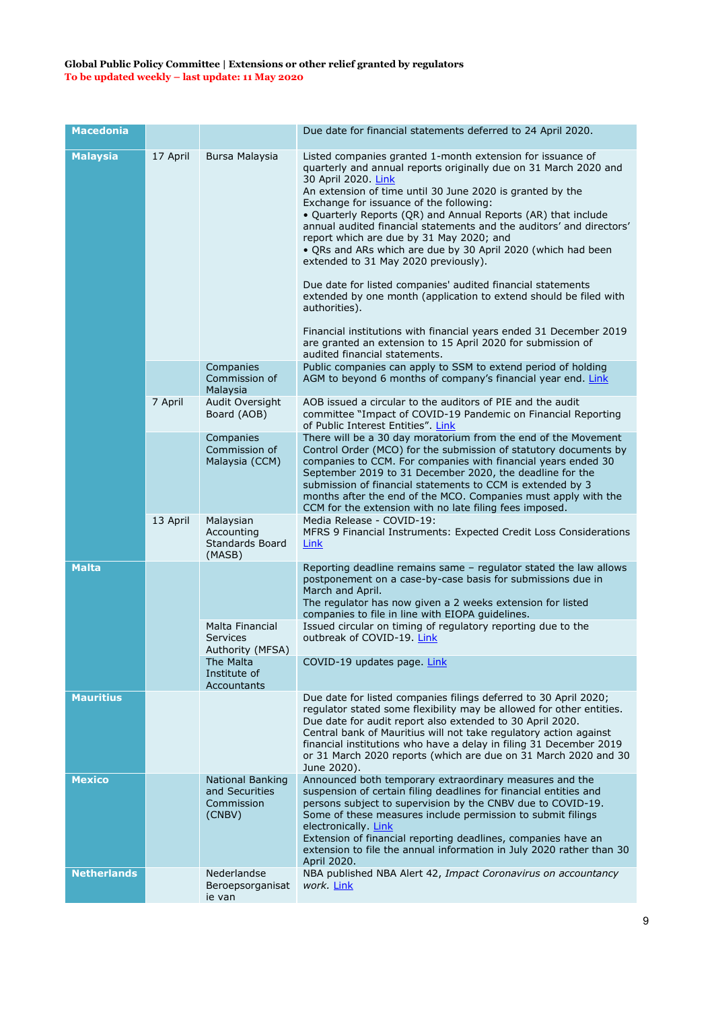| <b>Macedonia</b>   |          |                                                                     | Due date for financial statements deferred to 24 April 2020.                                                                                                                                                                                                                                                                                                                                                                                                                                                                                                                                                                                                                                                                                                                                                                                                                          |
|--------------------|----------|---------------------------------------------------------------------|---------------------------------------------------------------------------------------------------------------------------------------------------------------------------------------------------------------------------------------------------------------------------------------------------------------------------------------------------------------------------------------------------------------------------------------------------------------------------------------------------------------------------------------------------------------------------------------------------------------------------------------------------------------------------------------------------------------------------------------------------------------------------------------------------------------------------------------------------------------------------------------|
| <b>Malaysia</b>    | 17 April | Bursa Malaysia                                                      | Listed companies granted 1-month extension for issuance of<br>quarterly and annual reports originally due on 31 March 2020 and<br>30 April 2020. Link<br>An extension of time until 30 June 2020 is granted by the<br>Exchange for issuance of the following:<br>. Quarterly Reports (QR) and Annual Reports (AR) that include<br>annual audited financial statements and the auditors' and directors'<br>report which are due by 31 May 2020; and<br>• QRs and ARs which are due by 30 April 2020 (which had been<br>extended to 31 May 2020 previously).<br>Due date for listed companies' audited financial statements<br>extended by one month (application to extend should be filed with<br>authorities).<br>Financial institutions with financial years ended 31 December 2019<br>are granted an extension to 15 April 2020 for submission of<br>audited financial statements. |
|                    |          | Companies<br>Commission of<br>Malaysia                              | Public companies can apply to SSM to extend period of holding<br>AGM to beyond 6 months of company's financial year end. Link                                                                                                                                                                                                                                                                                                                                                                                                                                                                                                                                                                                                                                                                                                                                                         |
|                    | 7 April  | Audit Oversight<br>Board (AOB)                                      | AOB issued a circular to the auditors of PIE and the audit<br>committee "Impact of COVID-19 Pandemic on Financial Reporting<br>of Public Interest Entities". Link                                                                                                                                                                                                                                                                                                                                                                                                                                                                                                                                                                                                                                                                                                                     |
|                    |          | Companies<br>Commission of<br>Malaysia (CCM)                        | There will be a 30 day moratorium from the end of the Movement<br>Control Order (MCO) for the submission of statutory documents by<br>companies to CCM. For companies with financial years ended 30<br>September 2019 to 31 December 2020, the deadline for the<br>submission of financial statements to CCM is extended by 3<br>months after the end of the MCO. Companies must apply with the<br>CCM for the extension with no late filing fees imposed.                                                                                                                                                                                                                                                                                                                                                                                                                            |
|                    | 13 April | Malaysian<br>Accounting<br>Standards Board<br>(MASB)                | Media Release - COVID-19:<br>MFRS 9 Financial Instruments: Expected Credit Loss Considerations<br><u>Link</u>                                                                                                                                                                                                                                                                                                                                                                                                                                                                                                                                                                                                                                                                                                                                                                         |
| <b>Malta</b>       |          | Malta Financial<br>Services                                         | Reporting deadline remains same - regulator stated the law allows<br>postponement on a case-by-case basis for submissions due in<br>March and April.<br>The regulator has now given a 2 weeks extension for listed<br>companies to file in line with EIOPA guidelines.<br>Issued circular on timing of regulatory reporting due to the<br>outbreak of COVID-19. Link                                                                                                                                                                                                                                                                                                                                                                                                                                                                                                                  |
|                    |          | Authority (MFSA)<br>The Malta<br>Institute of<br><b>Accountants</b> | COVID-19 updates page. Link                                                                                                                                                                                                                                                                                                                                                                                                                                                                                                                                                                                                                                                                                                                                                                                                                                                           |
| <b>Mauritius</b>   |          |                                                                     | Due date for listed companies filings deferred to 30 April 2020;<br>regulator stated some flexibility may be allowed for other entities.<br>Due date for audit report also extended to 30 April 2020.<br>Central bank of Mauritius will not take regulatory action against<br>financial institutions who have a delay in filing 31 December 2019<br>or 31 March 2020 reports (which are due on 31 March 2020 and 30<br>June 2020).                                                                                                                                                                                                                                                                                                                                                                                                                                                    |
| <b>Mexico</b>      |          | <b>National Banking</b><br>and Securities<br>Commission<br>(CNBV)   | Announced both temporary extraordinary measures and the<br>suspension of certain filing deadlines for financial entities and<br>persons subject to supervision by the CNBV due to COVID-19.<br>Some of these measures include permission to submit filings<br>electronically. Link<br>Extension of financial reporting deadlines, companies have an<br>extension to file the annual information in July 2020 rather than 30<br>April 2020.                                                                                                                                                                                                                                                                                                                                                                                                                                            |
| <b>Netherlands</b> |          | Nederlandse<br>Beroepsorganisat<br>ie van                           | NBA published NBA Alert 42, Impact Coronavirus on accountancy<br>work. Link                                                                                                                                                                                                                                                                                                                                                                                                                                                                                                                                                                                                                                                                                                                                                                                                           |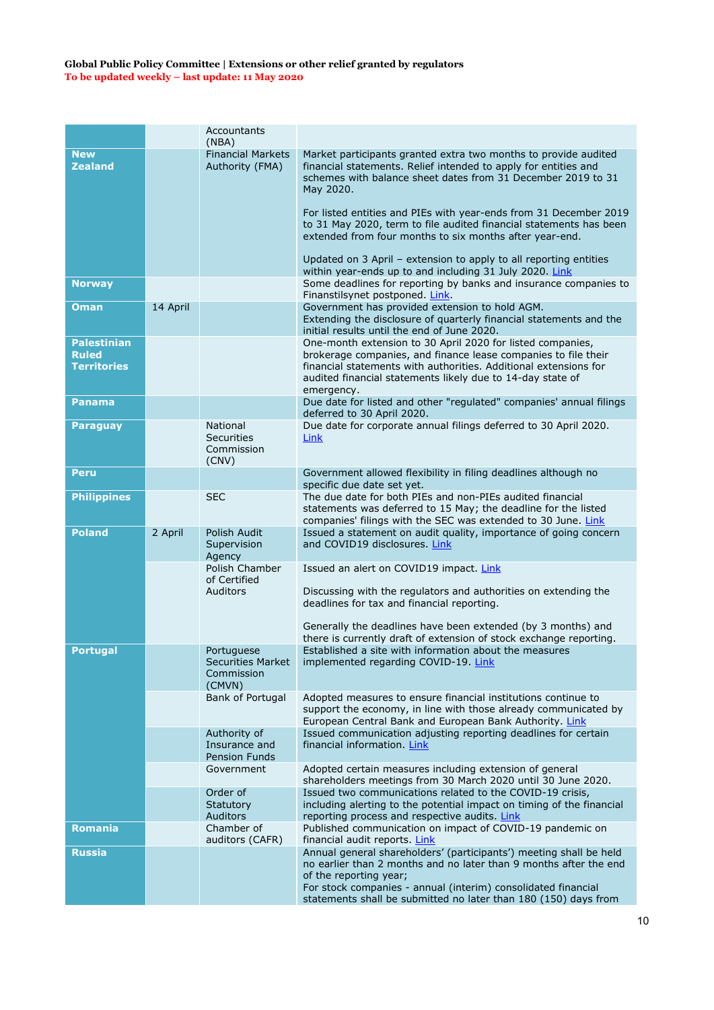|                                                          |          | Accountants<br>(NBA)                                        |                                                                                                                                                                                                                                                                                      |
|----------------------------------------------------------|----------|-------------------------------------------------------------|--------------------------------------------------------------------------------------------------------------------------------------------------------------------------------------------------------------------------------------------------------------------------------------|
| <b>New</b><br><b>Zealand</b>                             |          | <b>Financial Markets</b><br>Authority (FMA)                 | Market participants granted extra two months to provide audited<br>financial statements. Relief intended to apply for entities and<br>schemes with balance sheet dates from 31 December 2019 to 31<br>May 2020.<br>For listed entities and PIEs with year-ends from 31 December 2019 |
|                                                          |          |                                                             | to 31 May 2020, term to file audited financial statements has been<br>extended from four months to six months after year-end.                                                                                                                                                        |
|                                                          |          |                                                             | Updated on 3 April - extension to apply to all reporting entities<br>within year-ends up to and including 31 July 2020. Link                                                                                                                                                         |
| <b>Norway</b>                                            |          |                                                             | Some deadlines for reporting by banks and insurance companies to<br>Finanstilsynet postponed. Link.                                                                                                                                                                                  |
| <b>Oman</b>                                              | 14 April |                                                             | Government has provided extension to hold AGM.<br>Extending the disclosure of quarterly financial statements and the<br>initial results until the end of June 2020.                                                                                                                  |
| <b>Palestinian</b><br><b>Ruled</b><br><b>Territories</b> |          |                                                             | One-month extension to 30 April 2020 for listed companies,<br>brokerage companies, and finance lease companies to file their<br>financial statements with authorities. Additional extensions for<br>audited financial statements likely due to 14-day state of<br>emergency.         |
| <b>Panama</b>                                            |          |                                                             | Due date for listed and other "regulated" companies' annual filings<br>deferred to 30 April 2020.                                                                                                                                                                                    |
| <b>Paraguay</b>                                          |          | <b>National</b><br><b>Securities</b><br>Commission<br>(CNV) | Due date for corporate annual filings deferred to 30 April 2020.<br>Link                                                                                                                                                                                                             |
| <b>Peru</b>                                              |          |                                                             | Government allowed flexibility in filing deadlines although no<br>specific due date set yet.                                                                                                                                                                                         |
| <b>Philippines</b>                                       |          | <b>SEC</b>                                                  | The due date for both PIEs and non-PIEs audited financial<br>statements was deferred to 15 May; the deadline for the listed<br>companies' filings with the SEC was extended to 30 June. Link                                                                                         |
| <b>Poland</b>                                            | 2 April  | Polish Audit<br>Supervision<br>Agency                       | Issued a statement on audit quality, importance of going concern<br>and COVID19 disclosures. Link                                                                                                                                                                                    |
|                                                          |          | Polish Chamber<br>of Certified                              | Issued an alert on COVID19 impact. Link                                                                                                                                                                                                                                              |
|                                                          |          | Auditors                                                    | Discussing with the regulators and authorities on extending the<br>deadlines for tax and financial reporting.                                                                                                                                                                        |
|                                                          |          |                                                             | Generally the deadlines have been extended (by 3 months) and<br>there is currently draft of extension of stock exchange reporting.                                                                                                                                                   |
| <b>Portugal</b>                                          |          | Portuguese<br>Securities Market<br>Commission<br>(CMVN)     | Established a site with information about the measures<br>implemented regarding COVID-19. Link                                                                                                                                                                                       |
|                                                          |          | Bank of Portugal                                            | Adopted measures to ensure financial institutions continue to<br>support the economy, in line with those already communicated by<br>European Central Bank and European Bank Authority. Link                                                                                          |
|                                                          |          | Authority of<br>Insurance and<br><b>Pension Funds</b>       | Issued communication adjusting reporting deadlines for certain<br>financial information. Link                                                                                                                                                                                        |
|                                                          |          | Government                                                  | Adopted certain measures including extension of general<br>shareholders meetings from 30 March 2020 until 30 June 2020.                                                                                                                                                              |
|                                                          |          | Order of<br>Statutory<br>Auditors                           | Issued two communications related to the COVID-19 crisis,<br>including alerting to the potential impact on timing of the financial<br>reporting process and respective audits. Link                                                                                                  |
| <b>Romania</b>                                           |          | Chamber of<br>auditors (CAFR)                               | Published communication on impact of COVID-19 pandemic on<br>financial audit reports. Link                                                                                                                                                                                           |
| <b>Russia</b>                                            |          |                                                             | Annual general shareholders' (participants') meeting shall be held<br>no earlier than 2 months and no later than 9 months after the end<br>of the reporting year;<br>For stock companies - annual (interim) consolidated financial                                                   |
|                                                          |          |                                                             | statements shall be submitted no later than 180 (150) days from                                                                                                                                                                                                                      |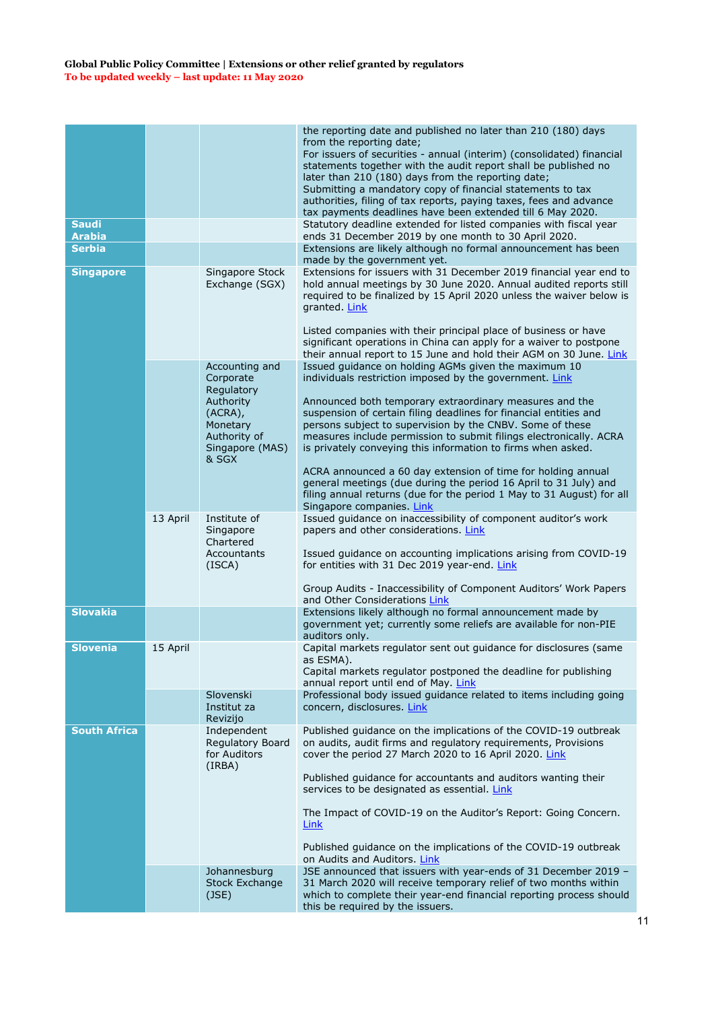|                               |          |                                                                                               | the reporting date and published no later than 210 (180) days<br>from the reporting date;                                                                                                                                                                                                                                       |
|-------------------------------|----------|-----------------------------------------------------------------------------------------------|---------------------------------------------------------------------------------------------------------------------------------------------------------------------------------------------------------------------------------------------------------------------------------------------------------------------------------|
|                               |          |                                                                                               | For issuers of securities - annual (interim) (consolidated) financial<br>statements together with the audit report shall be published no<br>later than 210 (180) days from the reporting date;<br>Submitting a mandatory copy of financial statements to tax                                                                    |
|                               |          |                                                                                               | authorities, filing of tax reports, paying taxes, fees and advance<br>tax payments deadlines have been extended till 6 May 2020.                                                                                                                                                                                                |
| <b>Saudi</b><br><b>Arabia</b> |          |                                                                                               | Statutory deadline extended for listed companies with fiscal year<br>ends 31 December 2019 by one month to 30 April 2020.                                                                                                                                                                                                       |
| <b>Serbia</b>                 |          |                                                                                               | Extensions are likely although no formal announcement has been<br>made by the government yet.                                                                                                                                                                                                                                   |
| <b>Singapore</b>              |          | Singapore Stock<br>Exchange (SGX)                                                             | Extensions for issuers with 31 December 2019 financial year end to<br>hold annual meetings by 30 June 2020. Annual audited reports still<br>required to be finalized by 15 April 2020 unless the waiver below is<br>granted. Link                                                                                               |
|                               |          |                                                                                               | Listed companies with their principal place of business or have<br>significant operations in China can apply for a waiver to postpone<br>their annual report to 15 June and hold their AGM on 30 June. Link                                                                                                                     |
|                               |          | Accounting and<br>Corporate                                                                   | Issued guidance on holding AGMs given the maximum 10<br>individuals restriction imposed by the government. Link                                                                                                                                                                                                                 |
|                               |          | Regulatory<br>Authority<br>$(ACRA)$ ,<br>Monetary<br>Authority of<br>Singapore (MAS)<br>& SGX | Announced both temporary extraordinary measures and the<br>suspension of certain filing deadlines for financial entities and<br>persons subject to supervision by the CNBV. Some of these<br>measures include permission to submit filings electronically. ACRA<br>is privately conveying this information to firms when asked. |
|                               |          |                                                                                               | ACRA announced a 60 day extension of time for holding annual<br>general meetings (due during the period 16 April to 31 July) and<br>filing annual returns (due for the period 1 May to 31 August) for all<br>Singapore companies. Link                                                                                          |
|                               | 13 April | Institute of<br>Singapore<br>Chartered<br><b>Accountants</b>                                  | Issued guidance on inaccessibility of component auditor's work<br>papers and other considerations. Link<br>Issued guidance on accounting implications arising from COVID-19                                                                                                                                                     |
|                               |          | (ISCA)                                                                                        | for entities with 31 Dec 2019 year-end. Link                                                                                                                                                                                                                                                                                    |
|                               |          |                                                                                               | Group Audits - Inaccessibility of Component Auditors' Work Papers<br>and Other Considerations Link                                                                                                                                                                                                                              |
| <b>Slovakia</b>               |          |                                                                                               | Extensions likely although no formal announcement made by<br>government yet; currently some reliefs are available for non-PIE<br>auditors only.                                                                                                                                                                                 |
| <b>Slovenia</b>               | 15 April |                                                                                               | Capital markets regulator sent out guidance for disclosures (same<br>as ESMA).<br>Capital markets regulator postponed the deadline for publishing                                                                                                                                                                               |
|                               |          | Slovenski<br>Institut za<br>Revizijo                                                          | annual report until end of May. Link<br>Professional body issued guidance related to items including going<br>concern, disclosures. Link                                                                                                                                                                                        |
| <b>South Africa</b>           |          | Independent<br>Regulatory Board<br>for Auditors<br>(IRBA)                                     | Published guidance on the implications of the COVID-19 outbreak<br>on audits, audit firms and regulatory requirements, Provisions<br>cover the period 27 March 2020 to 16 April 2020. Link                                                                                                                                      |
|                               |          |                                                                                               | Published guidance for accountants and auditors wanting their<br>services to be designated as essential. Link                                                                                                                                                                                                                   |
|                               |          |                                                                                               | The Impact of COVID-19 on the Auditor's Report: Going Concern.<br>Link                                                                                                                                                                                                                                                          |
|                               |          |                                                                                               | Published guidance on the implications of the COVID-19 outbreak<br>on Audits and Auditors. Link                                                                                                                                                                                                                                 |
|                               |          | Johannesburg<br><b>Stock Exchange</b><br>(JSE)                                                | JSE announced that issuers with year-ends of 31 December 2019 -<br>31 March 2020 will receive temporary relief of two months within<br>which to complete their year-end financial reporting process should<br>this be required by the issuers.                                                                                  |
|                               |          |                                                                                               |                                                                                                                                                                                                                                                                                                                                 |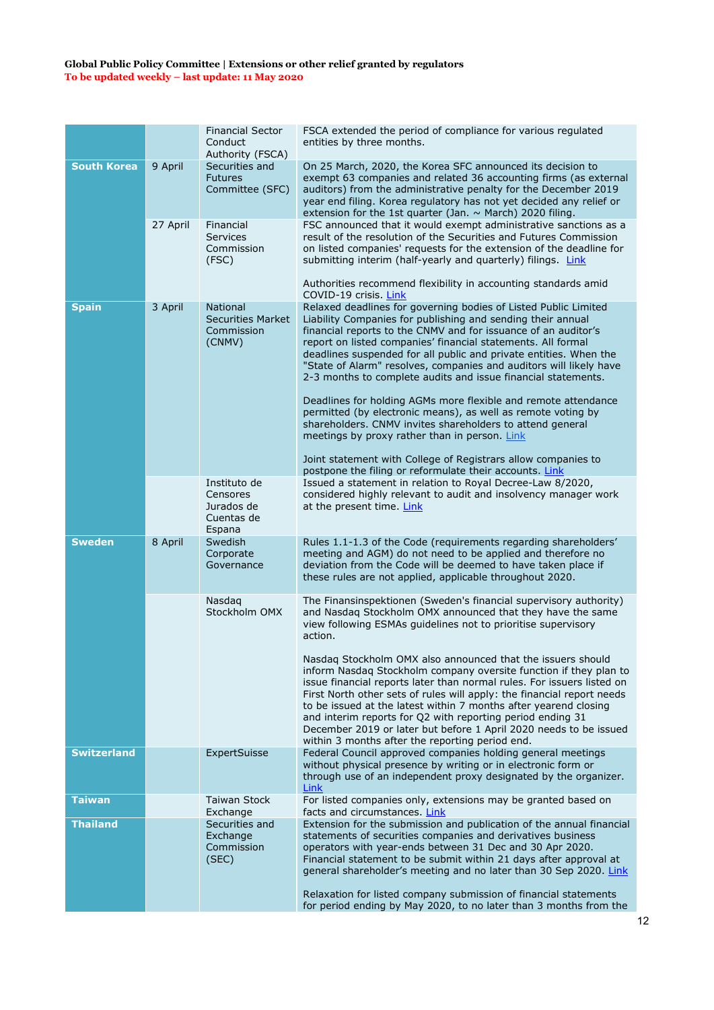|                    |          | <b>Financial Sector</b><br>Conduct<br>Authority (FSCA)              | FSCA extended the period of compliance for various regulated<br>entities by three months.                                                                                                                                                                                                                                                                                                                                                                                                                                                      |
|--------------------|----------|---------------------------------------------------------------------|------------------------------------------------------------------------------------------------------------------------------------------------------------------------------------------------------------------------------------------------------------------------------------------------------------------------------------------------------------------------------------------------------------------------------------------------------------------------------------------------------------------------------------------------|
| <b>South Korea</b> | 9 April  | Securities and<br><b>Futures</b><br>Committee (SFC)                 | On 25 March, 2020, the Korea SFC announced its decision to<br>exempt 63 companies and related 36 accounting firms (as external<br>auditors) from the administrative penalty for the December 2019<br>year end filing. Korea regulatory has not yet decided any relief or<br>extension for the 1st quarter (Jan. $\sim$ March) 2020 filing.                                                                                                                                                                                                     |
|                    | 27 April | Financial<br><b>Services</b><br>Commission<br>(FSC)                 | FSC announced that it would exempt administrative sanctions as a<br>result of the resolution of the Securities and Futures Commission<br>on listed companies' requests for the extension of the deadline for<br>submitting interim (half-yearly and quarterly) filings. Link<br>Authorities recommend flexibility in accounting standards amid                                                                                                                                                                                                 |
|                    |          |                                                                     | COVID-19 crisis. Link                                                                                                                                                                                                                                                                                                                                                                                                                                                                                                                          |
| <b>Spain</b>       | 3 April  | <b>National</b><br><b>Securities Market</b><br>Commission<br>(CNMV) | Relaxed deadlines for governing bodies of Listed Public Limited<br>Liability Companies for publishing and sending their annual<br>financial reports to the CNMV and for issuance of an auditor's<br>report on listed companies' financial statements. All formal<br>deadlines suspended for all public and private entities. When the<br>"State of Alarm" resolves, companies and auditors will likely have<br>2-3 months to complete audits and issue financial statements.                                                                   |
|                    |          |                                                                     | Deadlines for holding AGMs more flexible and remote attendance<br>permitted (by electronic means), as well as remote voting by<br>shareholders. CNMV invites shareholders to attend general<br>meetings by proxy rather than in person. Link                                                                                                                                                                                                                                                                                                   |
|                    |          |                                                                     | Joint statement with College of Registrars allow companies to<br>postpone the filing or reformulate their accounts. Link                                                                                                                                                                                                                                                                                                                                                                                                                       |
|                    |          | Instituto de<br>Censores<br>Jurados de<br>Cuentas de<br>Espana      | Issued a statement in relation to Royal Decree-Law 8/2020,<br>considered highly relevant to audit and insolvency manager work<br>at the present time. Link                                                                                                                                                                                                                                                                                                                                                                                     |
| <b>Sweden</b>      | 8 April  | Swedish<br>Corporate<br>Governance                                  | Rules 1.1-1.3 of the Code (requirements regarding shareholders'<br>meeting and AGM) do not need to be applied and therefore no<br>deviation from the Code will be deemed to have taken place if<br>these rules are not applied, applicable throughout 2020.                                                                                                                                                                                                                                                                                    |
|                    |          | Nasdaq<br>Stockholm OMX                                             | The Finansinspektionen (Sweden's financial supervisory authority)<br>and Nasdaq Stockholm OMX announced that they have the same<br>view following ESMAs guidelines not to prioritise supervisory<br>action.                                                                                                                                                                                                                                                                                                                                    |
|                    |          |                                                                     | Nasdaq Stockholm OMX also announced that the issuers should<br>inform Nasdaq Stockholm company oversite function if they plan to<br>issue financial reports later than normal rules. For issuers listed on<br>First North other sets of rules will apply: the financial report needs<br>to be issued at the latest within 7 months after yearend closing<br>and interim reports for Q2 with reporting period ending 31<br>December 2019 or later but before 1 April 2020 needs to be issued<br>within 3 months after the reporting period end. |
| <b>Switzerland</b> |          | ExpertSuisse                                                        | Federal Council approved companies holding general meetings<br>without physical presence by writing or in electronic form or<br>through use of an independent proxy designated by the organizer.<br>Link                                                                                                                                                                                                                                                                                                                                       |
| <b>Taiwan</b>      |          | <b>Taiwan Stock</b><br>Exchange                                     | For listed companies only, extensions may be granted based on<br>facts and circumstances. Link                                                                                                                                                                                                                                                                                                                                                                                                                                                 |
| <b>Thailand</b>    |          | Securities and<br>Exchange<br>Commission<br>(SEC)                   | Extension for the submission and publication of the annual financial<br>statements of securities companies and derivatives business<br>operators with year-ends between 31 Dec and 30 Apr 2020.<br>Financial statement to be submit within 21 days after approval at<br>general shareholder's meeting and no later than 30 Sep 2020. Link<br>Relaxation for listed company submission of financial statements                                                                                                                                  |
|                    |          |                                                                     | for period ending by May 2020, to no later than 3 months from the                                                                                                                                                                                                                                                                                                                                                                                                                                                                              |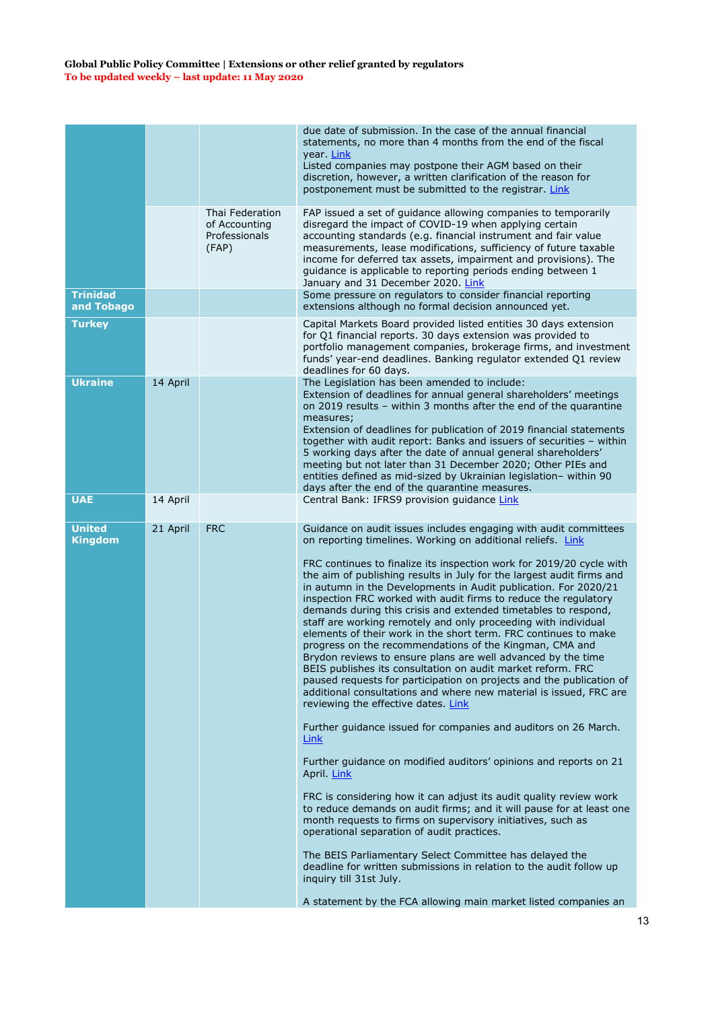|                                 |          |                                                            | due date of submission. In the case of the annual financial<br>statements, no more than 4 months from the end of the fiscal<br>year. Link<br>Listed companies may postpone their AGM based on their<br>discretion, however, a written clarification of the reason for<br>postponement must be submitted to the registrar. Link                                                                                                                                                                                                                                                                                                                                                                                                                                                                                                                                                                                                                                                                                                                                                                                                                                                                                                                                                                                                                                                                                                                                                                                                                                                                                                                                                |
|---------------------------------|----------|------------------------------------------------------------|-------------------------------------------------------------------------------------------------------------------------------------------------------------------------------------------------------------------------------------------------------------------------------------------------------------------------------------------------------------------------------------------------------------------------------------------------------------------------------------------------------------------------------------------------------------------------------------------------------------------------------------------------------------------------------------------------------------------------------------------------------------------------------------------------------------------------------------------------------------------------------------------------------------------------------------------------------------------------------------------------------------------------------------------------------------------------------------------------------------------------------------------------------------------------------------------------------------------------------------------------------------------------------------------------------------------------------------------------------------------------------------------------------------------------------------------------------------------------------------------------------------------------------------------------------------------------------------------------------------------------------------------------------------------------------|
|                                 |          | Thai Federation<br>of Accounting<br>Professionals<br>(FAP) | FAP issued a set of guidance allowing companies to temporarily<br>disregard the impact of COVID-19 when applying certain<br>accounting standards (e.g. financial instrument and fair value<br>measurements, lease modifications, sufficiency of future taxable<br>income for deferred tax assets, impairment and provisions). The<br>guidance is applicable to reporting periods ending between 1<br>January and 31 December 2020. Link                                                                                                                                                                                                                                                                                                                                                                                                                                                                                                                                                                                                                                                                                                                                                                                                                                                                                                                                                                                                                                                                                                                                                                                                                                       |
| <b>Trinidad</b><br>and Tobago   |          |                                                            | Some pressure on regulators to consider financial reporting<br>extensions although no formal decision announced yet.                                                                                                                                                                                                                                                                                                                                                                                                                                                                                                                                                                                                                                                                                                                                                                                                                                                                                                                                                                                                                                                                                                                                                                                                                                                                                                                                                                                                                                                                                                                                                          |
| <b>Turkey</b>                   |          |                                                            | Capital Markets Board provided listed entities 30 days extension<br>for Q1 financial reports. 30 days extension was provided to<br>portfolio management companies, brokerage firms, and investment<br>funds' year-end deadlines. Banking regulator extended Q1 review<br>deadlines for 60 days.                                                                                                                                                                                                                                                                                                                                                                                                                                                                                                                                                                                                                                                                                                                                                                                                                                                                                                                                                                                                                                                                                                                                                                                                                                                                                                                                                                               |
| <b>Ukraine</b>                  | 14 April |                                                            | The Legislation has been amended to include:<br>Extension of deadlines for annual general shareholders' meetings<br>on 2019 results - within 3 months after the end of the quarantine<br>measures;<br>Extension of deadlines for publication of 2019 financial statements<br>together with audit report: Banks and issuers of securities - within                                                                                                                                                                                                                                                                                                                                                                                                                                                                                                                                                                                                                                                                                                                                                                                                                                                                                                                                                                                                                                                                                                                                                                                                                                                                                                                             |
|                                 |          |                                                            | 5 working days after the date of annual general shareholders'<br>meeting but not later than 31 December 2020; Other PIEs and<br>entities defined as mid-sized by Ukrainian legislation- within 90<br>days after the end of the quarantine measures.                                                                                                                                                                                                                                                                                                                                                                                                                                                                                                                                                                                                                                                                                                                                                                                                                                                                                                                                                                                                                                                                                                                                                                                                                                                                                                                                                                                                                           |
| <b>UAE</b>                      | 14 April |                                                            | Central Bank: IFRS9 provision guidance Link                                                                                                                                                                                                                                                                                                                                                                                                                                                                                                                                                                                                                                                                                                                                                                                                                                                                                                                                                                                                                                                                                                                                                                                                                                                                                                                                                                                                                                                                                                                                                                                                                                   |
| <b>United</b><br><b>Kingdom</b> | 21 April | <b>FRC</b>                                                 | Guidance on audit issues includes engaging with audit committees<br>on reporting timelines. Working on additional reliefs. Link<br>FRC continues to finalize its inspection work for 2019/20 cycle with<br>the aim of publishing results in July for the largest audit firms and<br>in autumn in the Developments in Audit publication. For 2020/21<br>inspection FRC worked with audit firms to reduce the regulatory<br>demands during this crisis and extended timetables to respond,<br>staff are working remotely and only proceeding with individual<br>elements of their work in the short term. FRC continues to make<br>progress on the recommendations of the Kingman, CMA and<br>Brydon reviews to ensure plans are well advanced by the time<br>BEIS publishes its consultation on audit market reform. FRC<br>paused requests for participation on projects and the publication of<br>additional consultations and where new material is issued, FRC are<br>reviewing the effective dates. Link<br>Further guidance issued for companies and auditors on 26 March.<br><u>Link</u><br>Further guidance on modified auditors' opinions and reports on 21<br>April. Link<br>FRC is considering how it can adjust its audit quality review work<br>to reduce demands on audit firms; and it will pause for at least one<br>month requests to firms on supervisory initiatives, such as<br>operational separation of audit practices.<br>The BEIS Parliamentary Select Committee has delayed the<br>deadline for written submissions in relation to the audit follow up<br>inquiry till 31st July.<br>A statement by the FCA allowing main market listed companies an |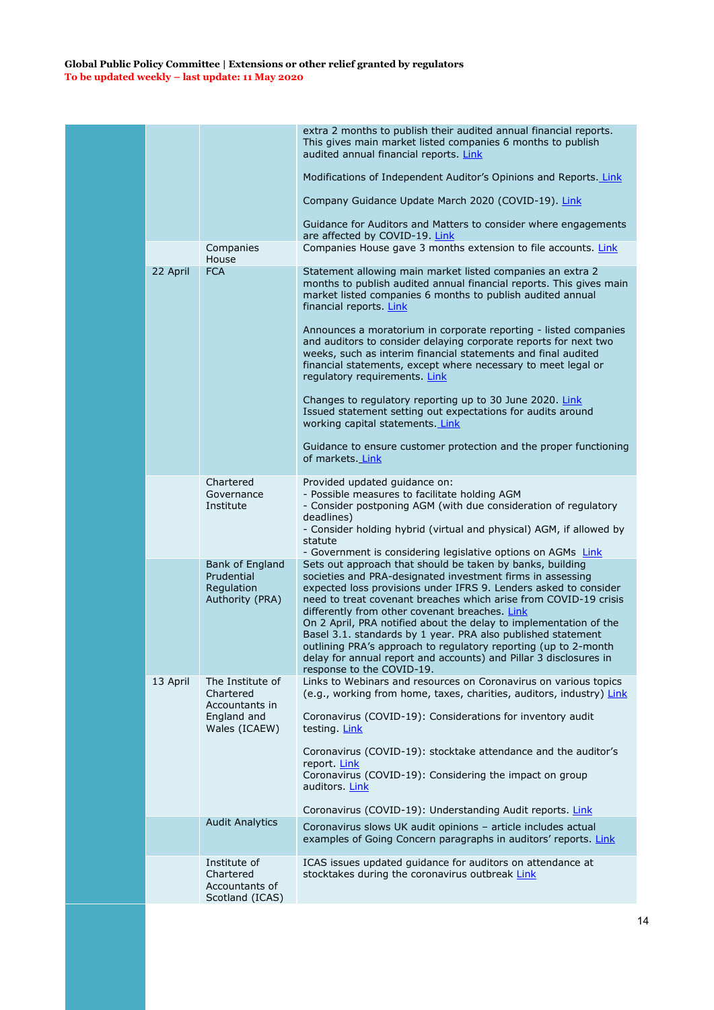|          |                                                                                 | extra 2 months to publish their audited annual financial reports.<br>This gives main market listed companies 6 months to publish<br>audited annual financial reports. Link                                                                                                                                                                                                                                                                                                                                                                                                                                                  |
|----------|---------------------------------------------------------------------------------|-----------------------------------------------------------------------------------------------------------------------------------------------------------------------------------------------------------------------------------------------------------------------------------------------------------------------------------------------------------------------------------------------------------------------------------------------------------------------------------------------------------------------------------------------------------------------------------------------------------------------------|
|          |                                                                                 | Modifications of Independent Auditor's Opinions and Reports. Link                                                                                                                                                                                                                                                                                                                                                                                                                                                                                                                                                           |
|          |                                                                                 | Company Guidance Update March 2020 (COVID-19). Link                                                                                                                                                                                                                                                                                                                                                                                                                                                                                                                                                                         |
|          |                                                                                 | Guidance for Auditors and Matters to consider where engagements<br>are affected by COVID-19. Link                                                                                                                                                                                                                                                                                                                                                                                                                                                                                                                           |
|          | Companies<br>House                                                              | Companies House gave 3 months extension to file accounts. Link                                                                                                                                                                                                                                                                                                                                                                                                                                                                                                                                                              |
| 22 April | <b>FCA</b>                                                                      | Statement allowing main market listed companies an extra 2<br>months to publish audited annual financial reports. This gives main<br>market listed companies 6 months to publish audited annual<br>financial reports. Link                                                                                                                                                                                                                                                                                                                                                                                                  |
|          |                                                                                 | Announces a moratorium in corporate reporting - listed companies<br>and auditors to consider delaying corporate reports for next two<br>weeks, such as interim financial statements and final audited<br>financial statements, except where necessary to meet legal or<br>regulatory requirements. Link                                                                                                                                                                                                                                                                                                                     |
|          |                                                                                 | Changes to regulatory reporting up to 30 June 2020. Link<br>Issued statement setting out expectations for audits around<br>working capital statements Link                                                                                                                                                                                                                                                                                                                                                                                                                                                                  |
|          |                                                                                 | Guidance to ensure customer protection and the proper functioning<br>of markets. Link                                                                                                                                                                                                                                                                                                                                                                                                                                                                                                                                       |
|          | Chartered<br>Governance<br>Institute                                            | Provided updated guidance on:<br>- Possible measures to facilitate holding AGM<br>- Consider postponing AGM (with due consideration of regulatory                                                                                                                                                                                                                                                                                                                                                                                                                                                                           |
|          |                                                                                 | deadlines)<br>- Consider holding hybrid (virtual and physical) AGM, if allowed by<br>statute<br>- Government is considering legislative options on AGMs Link                                                                                                                                                                                                                                                                                                                                                                                                                                                                |
|          | <b>Bank of England</b><br>Prudential<br>Regulation<br>Authority (PRA)           | Sets out approach that should be taken by banks, building<br>societies and PRA-designated investment firms in assessing<br>expected loss provisions under IFRS 9. Lenders asked to consider<br>need to treat covenant breaches which arise from COVID-19 crisis<br>differently from other covenant breaches. Link<br>On 2 April, PRA notified about the delay to implementation of the<br>Basel 3.1. standards by 1 year. PRA also published statement<br>outlining PRA's approach to regulatory reporting (up to 2-month<br>delay for annual report and accounts) and Pillar 3 disclosures in<br>response to the COVID-19. |
| 13 April | The Institute of<br>Chartered<br>Accountants in<br>England and<br>Wales (ICAEW) | Links to Webinars and resources on Coronavirus on various topics<br>(e.g., working from home, taxes, charities, auditors, industry) Link<br>Coronavirus (COVID-19): Considerations for inventory audit<br>testing. Link                                                                                                                                                                                                                                                                                                                                                                                                     |
|          |                                                                                 | Coronavirus (COVID-19): stocktake attendance and the auditor's<br>report Link<br>Coronavirus (COVID-19): Considering the impact on group<br>auditors. Link<br>Coronavirus (COVID-19): Understanding Audit reports. Link                                                                                                                                                                                                                                                                                                                                                                                                     |
|          | <b>Audit Analytics</b>                                                          | Coronavirus slows UK audit opinions - article includes actual<br>examples of Going Concern paragraphs in auditors' reports. Link                                                                                                                                                                                                                                                                                                                                                                                                                                                                                            |
|          | Institute of                                                                    | ICAS issues updated guidance for auditors on attendance at                                                                                                                                                                                                                                                                                                                                                                                                                                                                                                                                                                  |
|          | Chartered<br>Accountants of<br>Scotland (ICAS)                                  | stocktakes during the coronavirus outbreak Link                                                                                                                                                                                                                                                                                                                                                                                                                                                                                                                                                                             |
|          |                                                                                 |                                                                                                                                                                                                                                                                                                                                                                                                                                                                                                                                                                                                                             |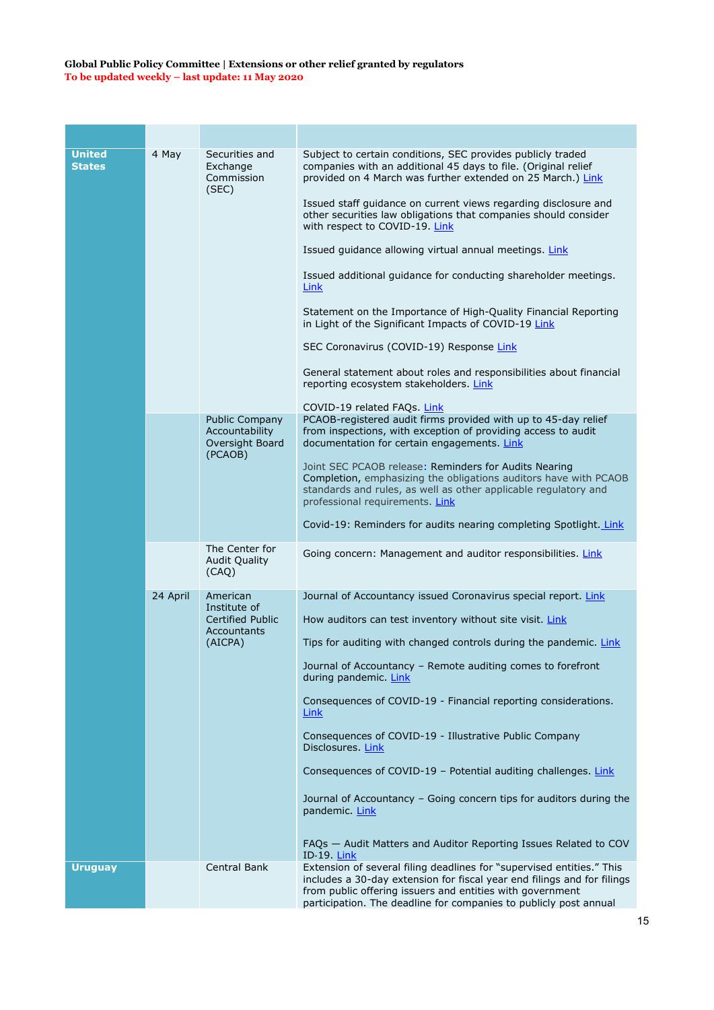| <b>United</b><br><b>States</b> | 4 May    | Securities and<br>Exchange<br>Commission<br>(SEC)                             | Subject to certain conditions, SEC provides publicly traded<br>companies with an additional 45 days to file. (Original relief<br>provided on 4 March was further extended on 25 March.) Link<br>Issued staff quidance on current views regarding disclosure and<br>other securities law obligations that companies should consider<br>with respect to COVID-19. Link<br>Issued guidance allowing virtual annual meetings. Link<br>Issued additional guidance for conducting shareholder meetings.<br>Link<br>Statement on the Importance of High-Quality Financial Reporting<br>in Light of the Significant Impacts of COVID-19 Link<br>SEC Coronavirus (COVID-19) Response Link<br>General statement about roles and responsibilities about financial<br>reporting ecosystem stakeholders. Link<br>COVID-19 related FAQs. Link |
|--------------------------------|----------|-------------------------------------------------------------------------------|---------------------------------------------------------------------------------------------------------------------------------------------------------------------------------------------------------------------------------------------------------------------------------------------------------------------------------------------------------------------------------------------------------------------------------------------------------------------------------------------------------------------------------------------------------------------------------------------------------------------------------------------------------------------------------------------------------------------------------------------------------------------------------------------------------------------------------|
|                                |          | <b>Public Company</b><br>Accountability<br>Oversight Board<br>(PCAOB)         | PCAOB-registered audit firms provided with up to 45-day relief<br>from inspections, with exception of providing access to audit<br>documentation for certain engagements. Link<br>Joint SEC PCAOB release: Reminders for Audits Nearing<br>Completion, emphasizing the obligations auditors have with PCAOB<br>standards and rules, as well as other applicable regulatory and<br>professional requirements. Link<br>Covid-19: Reminders for audits nearing completing Spotlight. Link                                                                                                                                                                                                                                                                                                                                          |
|                                |          | The Center for                                                                |                                                                                                                                                                                                                                                                                                                                                                                                                                                                                                                                                                                                                                                                                                                                                                                                                                 |
|                                |          | Audit Quality<br>(CAQ)                                                        | Going concern: Management and auditor responsibilities. Link                                                                                                                                                                                                                                                                                                                                                                                                                                                                                                                                                                                                                                                                                                                                                                    |
|                                | 24 April | American<br>Institute of<br><b>Certified Public</b><br>Accountants<br>(AICPA) | Journal of Accountancy issued Coronavirus special report. Link<br>How auditors can test inventory without site visit. Link<br>Tips for auditing with changed controls during the pandemic. Link<br>Journal of Accountancy - Remote auditing comes to forefront<br>during pandemic. Link<br>Consequences of COVID-19 - Financial reporting considerations.<br>Link<br>Consequences of COVID-19 - Illustrative Public Company<br>Disclosures Link<br>Consequences of COVID-19 - Potential auditing challenges. Link<br>Journal of Accountancy – Going concern tips for auditors during the<br>pandemic. Link<br>FAQs - Audit Matters and Auditor Reporting Issues Related to COV<br><b>ID-19. Link</b>                                                                                                                            |
| <b>Uruguay</b>                 |          | Central Bank                                                                  | Extension of several filing deadlines for "supervised entities." This<br>includes a 30-day extension for fiscal year end filings and for filings<br>from public offering issuers and entities with government<br>participation. The deadline for companies to publicly post annual                                                                                                                                                                                                                                                                                                                                                                                                                                                                                                                                              |